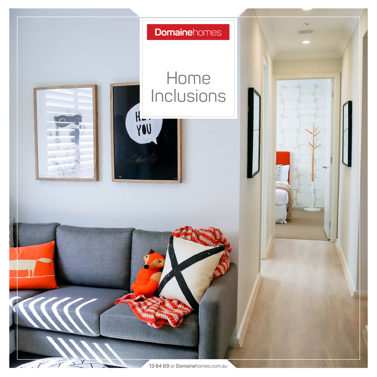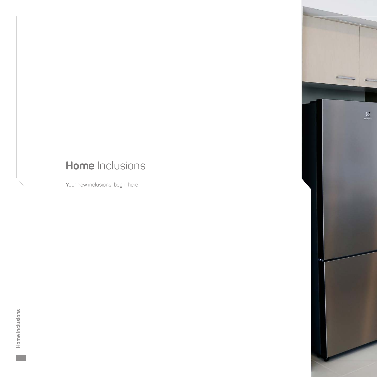# **Home** Inclusions

Your new inclusions begin here

 $\equiv$ 



 $\bigotimes_{\mathsf{B},\mathsf{dom}}$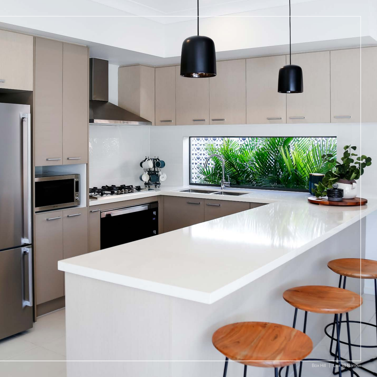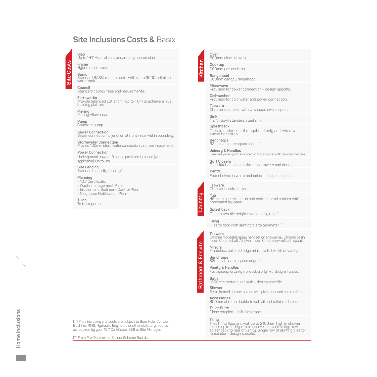## **Site Inclusions Costs &** Basix

Costs **Site Costs** Site<sup>(</sup>

**Slab** Up to "H1" Australian standard engineered slab. **Frame**

Hybrid steel frame

**Basix** Standard BASIX requirements with up to 3000L slimline water tank.

**Council** Standard council fees and requirements.

.

**Earthworks** Provide balanced cut and fill up to 1.0m to achieve a level building platform.

**Piering** Piering Allowance.

**Pump** Concrete pump

**Sewer Connection** Sewer connection to junction at front / rear within boundary.

**Stormwater Connection** Provide 100mm stormwater connection to street / easement

**Power Connection** Underground power - 3 phase provision included (where applicable). Up to 8m.

**Site Fencing** Standard security fencing\*

#### **Planning**

- 10.7 Certificate. - Waste management Plan.
- Erosion and Sediment Control Plan.
- Neighbour Notification Plan.

**Tiling** To front porch.

(\*\*) Price including site costs are subject to Bore Hole, Contour, Bushfire, RMS, Hydraulic Engineers or other statutory reports as required by your 10.7 Certificate, 88B or Site Manager.

(^) From Pre-Determined Colour Scheme Boards.

## **Oven** 600mm electric oven. **Cooktop**

**Kitchen**

600mm gas cooktop.

**Rangehood** 600mm canopy rangehood.

**Microwave**<br>Provision for power connection - design specific.

**Dishwasher**<br>Provision for cold water and power connection.

**Tapware** Chrome sink mixer with U-shaped swivel spout.

**Sink**  $1 \& 1/2$  bowl stainless steel sink.

**Splashback** Tiles to underside of rangehood only and two rows above benchtop.

**Benchtops** 33mm laminate square edge. ^

**Joinery & Handle s** Laminate joinery with kickboard in two colours\* with designer handles. ^

**Soft Closers** To all kitchens and bathrooms drawers and doors.

**Pantry** Four shelves in white melamine - design specific.

## **Tapware** Chrome laundry mixer.

**Tub**<br>45L stainless steel tub and coated metal cabinet with<br>concealed by-pass.

**Splashback** Tiles to two tile height over laundry tub.  $^\wedge$ 

**Tilin g** Tiles to floor with skirting tile to perimeter.  $^{\wedge}$ 

#### **Tapware**

Chrome moveable spray handset on shower rail, Chrome basin mixer, Chrome bath/shower mixer, Chrome swivel bath spout.

**Mirrors** Frameless polished edge mirror to full width of vanity

**Benchtops** 33mm laminate square edge. ^

#### **Vanity & Handle s**

Floating designer vanity in one colour only\* with designer handles. ^

**Bath** 1650mm rectangular bath - design specific.

**Shower**

Semi-framed shower screen with pivot door and chrome frame.

**Accessories** 600mm chrome double towel rail and toilet roll holder

**Toilet Suite** Close coupled - soft close seat.

#### **Tiling**

Tiles (^) to floor and wall up to 2100mm high in shower<br>recess, up to 1m high from floor over bath and a single row<br>splashback to rear of vanity. Single row of skirting tiles to<br>remainder - design specific.

Ensuite **Bathroom & Ensuite**  $\propto$ Bathroom

**Laundry**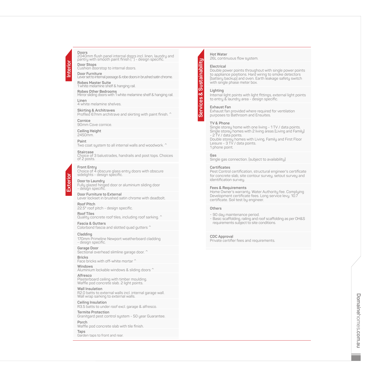**Doors**<br>2040mm flush panel internal doors incl. linen, laundry and<br>pantry with smooth paint finish (^) - design specific. .

**Door Stops**<br>Cushion doorstop to internal doors.

**Door Furniture**  Lever set to internal passage & robe doors in brushed satin chrome.

**Robes Master Suite** 1 white melamine shelf & hanging rail.

**Robes Other Bedrooms** Mirror sliding doors with 1 white melamine shelf & hanging rail.

**Linen** 4 white melamine shelves.

**Skirting & Architraves** Profiled 67mm architrave and skirting with paint finish. ^

**Cornic e** 90mm Cove cornice.

**Ceiling Heigh t** 2450mm.

#### **Paint**

Two coat system to all internal walls and woodwork. ^

**Staircase**<br>Choice of 3 balustrades, handrails and post tops. Choices<br>of 2 posts.

### **Front Entry**

Exterior

Choice of 4 obscure glass entry doors with obscure sidelights - design specific .

**Door to Laundry** Fully glazed hinged door or aluminium sliding door - design specific.

**Door Furniture to External** Lever lockset in brushed satin chrome with deadbolt.

**Roof Pitch**

22.5° roof pitch - design specific. **Roof Tiles**

Quality concrete roof tiles, including roof sarking. ^

### **Fascia & Gutters**

Colorbond fascia and slotted quad gutters  $\hat{ }$ 

## **Cladding**

170mm Primeline Newport weatherboard cladding - design specific. .

**Garage Door** Sectional overhead slimline garage door. ^

**Bricks** Face bricks with off-white mortar ^

**Windows** Aluminium lockable windows & sliding doors ^

**Alfresco** Plasterboard ceiling with timber moulding. Waffle pod concrete slab. 2 light points.

#### **Wall Insulation**

R2.0 batts to external walls incl. internal garage wall. Wall wrap sarking to external walls.

#### **Ceiling Insulation**

R3.5 batts to under roof excl. garage & alfresco. **Termite Protection**

Granitgard pest control system - 50 year Guarantee.

**Porch** Waffle pod concrete slab with tile finish.

**Taps** Garden taps to front and rear.

## **Hot Water**

26L continuous flow system.

#### **Electrical**

Double power points throughout with single power points to appliance positions. Hard wiring to smoke detectors [battery backup] and oven. Earth leakage safety switch with single phase meter box.

#### **Lighting**

**Services & Sustainability**

Services &

Sustainability

Internal light points with light fittings, external light points to entry & laundry area - design specific.

#### **Exhaust Fan**

Exhaust fan provided where required for ventilation purposes to Bathroom and Ensuites.

#### **TV & Phone**

Single storey home with one living - 1 TV / data points. Single storey homes with 2 living areas (Living and Family) - 2 TV / data points. Double storey homes with Living, Family and First Floor

Leisure - 3 TV / data points. 1 phone point.

#### **Gas**

Single gas connection. (subject to availability)

#### **Certificates**

Pest Control certification, structural engineer's certificate for concrete slab, site contour survey, setout survey and identification survey.

#### **Fees & Requirements**

Home Owner's warranty. Water Authority fee. Complying Development certificate fees. Long service levy. 10.7 certificate. Soil test by engineer.

#### **Others**

- 90 day maintenance period.<br>- Basic scaffolding, railing and ri

Basic scaffolding, railing and roof scaffolding as per OH&S requirements subject to site conditions.

#### **CDC Approval**

Private certifier fees and requirements.